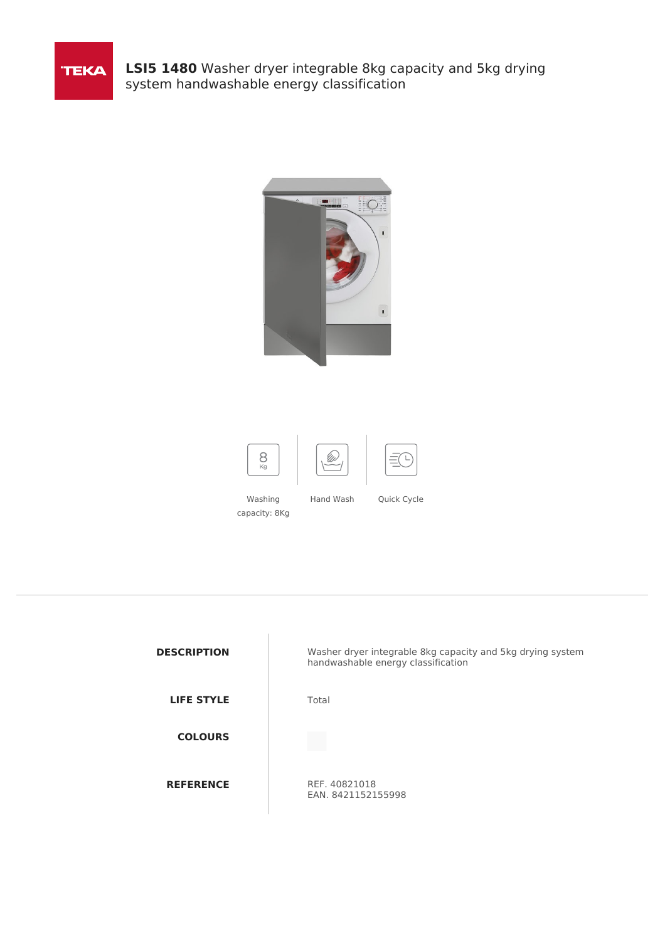

**LSI5 1480** Washer dryer integrable 8kg capacity and 5kg drying system handwashable energy classification





Washing capacity: 8Kg Hand Wash Quick Cycle

| <b>DESCRIPTION</b> |
|--------------------|
| <b>LIFE STYLE</b>  |
| <b>COLOURS</b>     |
| <b>REFERENCE</b>   |

Washer dryer integrable 8kg capacity and 5kg drying system handwashable energy classification

**Total** 

**REF. 40821018** EAN. 8421152155998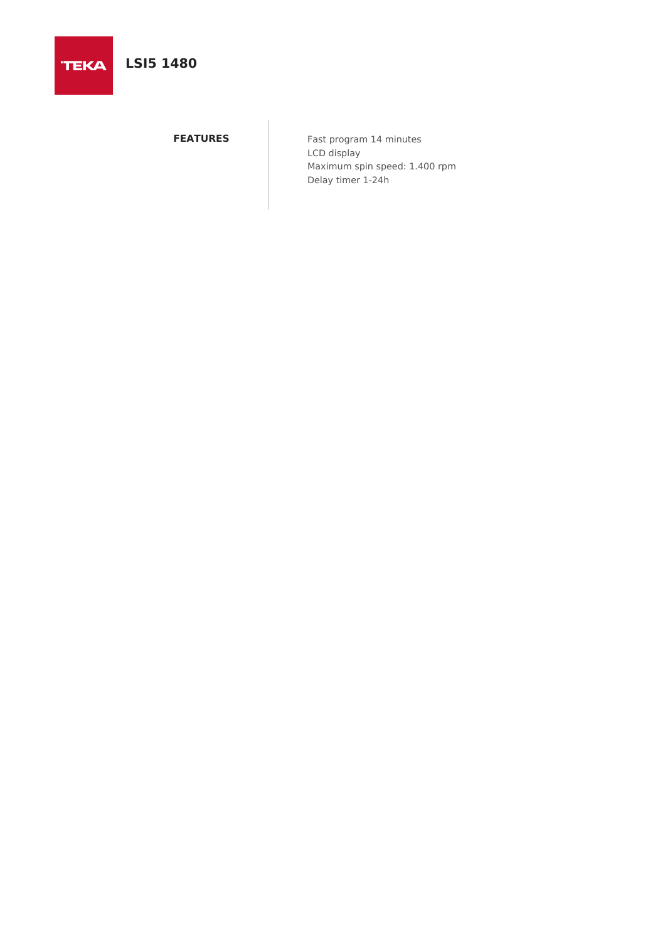

**TEKA** 

**FEATURES** Fast program 14 minutes LCD display Maximum spin speed: 1.400 rpm Delay timer 1-24h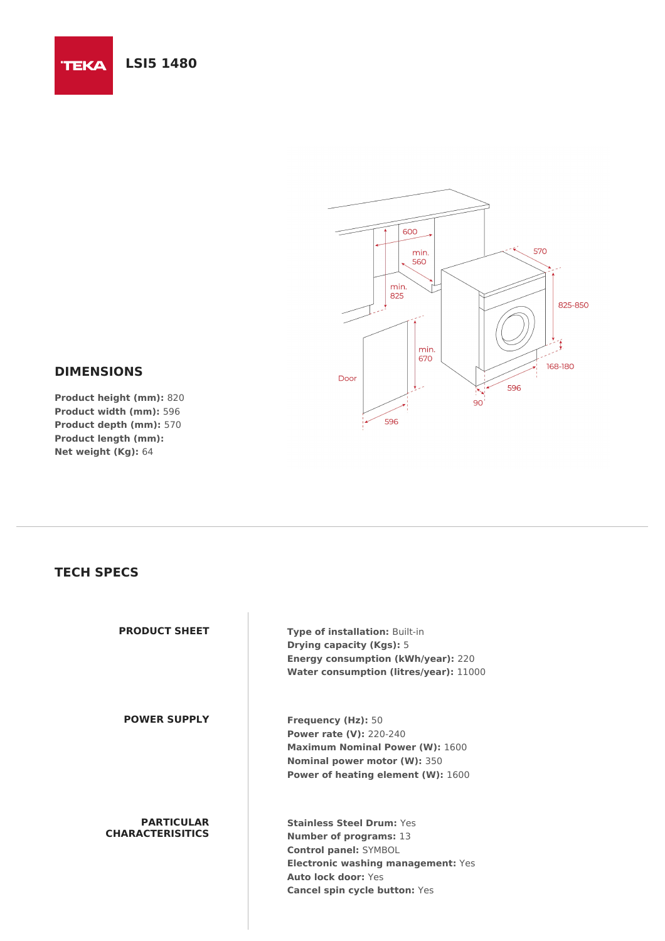## **LSI5 1480**

**TEKA** 



## **DIMENSIONS**

**Product height (mm):** 820 **Product width (mm):** 596 **Product depth (mm):** 570 **Product length (mm): Net weight (Kg):** 64

## **TECH SPECS**

| <b>PRODUCT SHEET</b>                         | <b>Type of installation: Built-in</b><br><b>Drying capacity (Kgs): 5</b><br><b>Energy consumption (kWh/year): 220</b><br><b>Water consumption (litres/year): 11000</b>                                 |
|----------------------------------------------|--------------------------------------------------------------------------------------------------------------------------------------------------------------------------------------------------------|
| <b>POWER SUPPLY</b>                          | <b>Frequency (Hz): 50</b><br><b>Power rate (V): 220-240</b><br><b>Maximum Nominal Power (W): 1600</b><br>Nominal power motor (W): 350<br><b>Power of heating element (W): 1600</b>                     |
| <b>PARTICULAR</b><br><b>CHARACTERISITICS</b> | Stainless Steel Drum: Yes<br><b>Number of programs: 13</b><br><b>Control panel: SYMBOL</b><br><b>Electronic washing management: Yes</b><br>Auto lock door: Yes<br><b>Cancel spin cycle button: Yes</b> |